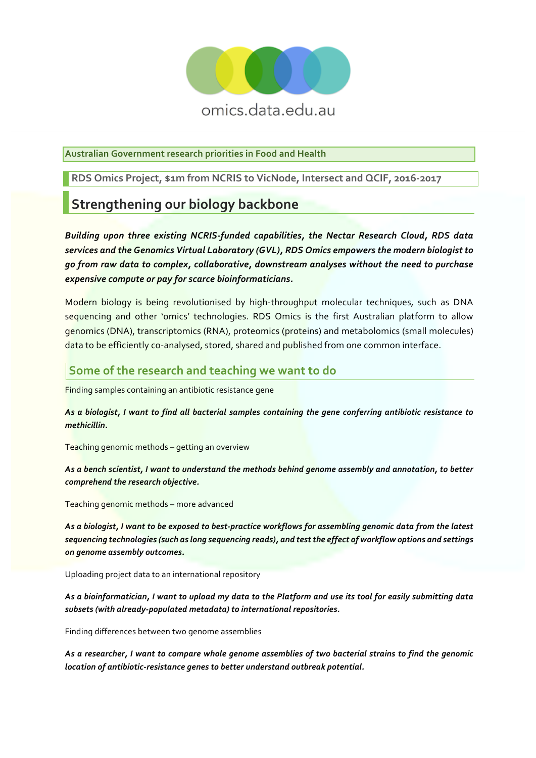

**Australian Government research priorities in Food and Health**

**RDS Omics Project, \$1m from NCRIS to VicNode, Intersect and QCIF, 2016-2017**

# **Strengthening our biology backbone**

*Building upon three existing NCRIS-funded capabilities, the Nectar Research Cloud, RDS data services and the Genomics Virtual Laboratory (GVL), RDS Omics empowers the modern biologist to go from raw data to complex, collaborative, downstream analyses without the need to purchase expensive compute or pay for scarce bioinformaticians.*

Modern biology is being revolutionised by high-throughput molecular techniques, such as DNA sequencing and other 'omics' technologies. RDS Omics is the first Australian platform to allow genomics (DNA), transcriptomics (RNA), proteomics (proteins) and metabolomics (small molecules) data to be efficiently co-analysed, stored, shared and published from one common interface.

### **Some of the research and teaching we want to do**

Finding samples containing an antibiotic resistance gene

*As a biologist, I want to find all bacterial samples containing the gene conferring antibiotic resistance to methicillin.*

Teaching genomic methods – getting an overview

*As a bench scientist, I want to understand the methods behind genome assembly and annotation, to better comprehend the research objective.*

Teaching genomic methods – more advanced

*As a biologist, I want to be exposed to best-practice workflows for assembling genomic data from the latest sequencing technologies (such as long sequencing reads), and test the effect of workflow options and settings on genome assembly outcomes.* 

Uploading project data to an international repository

*As a bioinformatician, I want to upload my data to the Platform and use its tool for easily submitting data subsets (with already-populated metadata) to international repositories.*

Finding differences between two genome assemblies

*As a researcher, I want to compare whole genome assemblies of two bacterial strains to find the genomic location of antibiotic-resistance genes to better understand outbreak potential.*